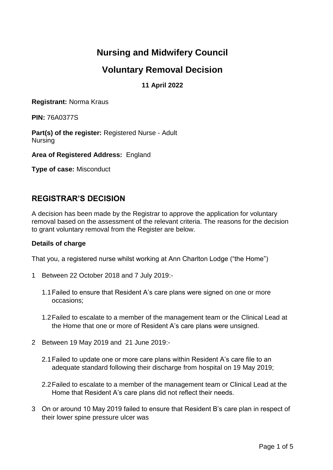# **Nursing and Midwifery Council**

# **Voluntary Removal Decision**

## **11 April 2022**

**Registrant:** Norma Kraus

**PIN:** 76A0377S

**Part(s) of the register:** Registered Nurse - Adult Nursing

**Area of Registered Address:** England

**Type of case:** Misconduct

## **REGISTRAR'S DECISION**

A decision has been made by the Registrar to approve the application for voluntary removal based on the assessment of the relevant criteria. The reasons for the decision to grant voluntary removal from the Register are below.

### **Details of charge**

That you, a registered nurse whilst working at Ann Charlton Lodge ("the Home")

- 1 Between 22 October 2018 and 7 July 2019:-
	- 1.1Failed to ensure that Resident A's care plans were signed on one or more occasions;
	- 1.2Failed to escalate to a member of the management team or the Clinical Lead at the Home that one or more of Resident A's care plans were unsigned.
- 2 Between 19 May 2019 and 21 June 2019:-
	- 2.1Failed to update one or more care plans within Resident A's care file to an adequate standard following their discharge from hospital on 19 May 2019;
	- 2.2Failed to escalate to a member of the management team or Clinical Lead at the Home that Resident A's care plans did not reflect their needs.
- 3 On or around 10 May 2019 failed to ensure that Resident B's care plan in respect of their lower spine pressure ulcer was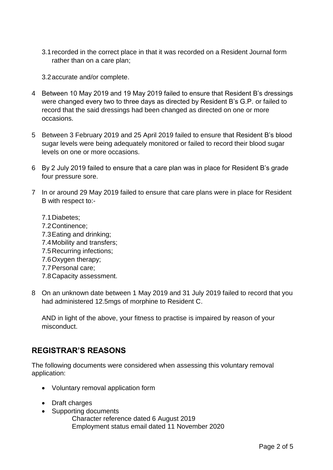3.1recorded in the correct place in that it was recorded on a Resident Journal form rather than on a care plan;

3.2accurate and/or complete.

- 4 Between 10 May 2019 and 19 May 2019 failed to ensure that Resident B's dressings were changed every two to three days as directed by Resident B's G.P. or failed to record that the said dressings had been changed as directed on one or more occasions.
- 5 Between 3 February 2019 and 25 April 2019 failed to ensure that Resident B's blood sugar levels were being adequately monitored or failed to record their blood sugar levels on one or more occasions.
- 6 By 2 July 2019 failed to ensure that a care plan was in place for Resident B's grade four pressure sore.
- 7 In or around 29 May 2019 failed to ensure that care plans were in place for Resident B with respect to:-
	- 7.1Diabetes; 7.2Continence; 7.3Eating and drinking; 7.4Mobility and transfers; 7.5Recurring infections; 7.6Oxygen therapy; 7.7Personal care; 7.8Capacity assessment.
- 8 On an unknown date between 1 May 2019 and 31 July 2019 failed to record that you had administered 12.5mgs of morphine to Resident C.

AND in light of the above, your fitness to practise is impaired by reason of your misconduct.

## **REGISTRAR'S REASONS**

The following documents were considered when assessing this voluntary removal application:

- Voluntary removal application form
- Draft charges
- Supporting documents

Character reference dated 6 August 2019 Employment status email dated 11 November 2020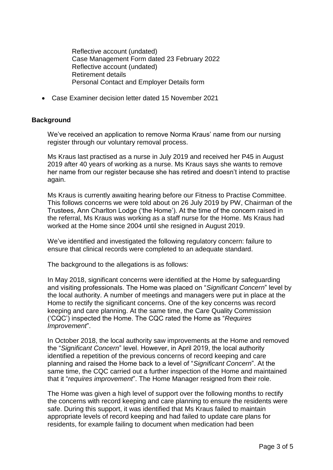Reflective account (undated) Case Management Form dated 23 February 2022 Reflective account (undated) Retirement details Personal Contact and Employer Details form

Case Examiner decision letter dated 15 November 2021

### **Background**

We've received an application to remove Norma Kraus' name from our nursing register through our voluntary removal process.

Ms Kraus last practised as a nurse in July 2019 and received her P45 in August 2019 after 40 years of working as a nurse. Ms Kraus says she wants to remove her name from our register because she has retired and doesn't intend to practise again.

Ms Kraus is currently awaiting hearing before our Fitness to Practise Committee. This follows concerns we were told about on 26 July 2019 by PW, Chairman of the Trustees, Ann Charlton Lodge ('the Home'). At the time of the concern raised in the referral, Ms Kraus was working as a staff nurse for the Home. Ms Kraus had worked at the Home since 2004 until she resigned in August 2019.

We've identified and investigated the following regulatory concern: failure to ensure that clinical records were completed to an adequate standard.

The background to the allegations is as follows:

In May 2018, significant concerns were identified at the Home by safeguarding and visiting professionals. The Home was placed on "*Significant Concern*" level by the local authority. A number of meetings and managers were put in place at the Home to rectify the significant concerns. One of the key concerns was record keeping and care planning. At the same time, the Care Quality Commission ('CQC') inspected the Home. The CQC rated the Home as "*Requires Improvement*".

In October 2018, the local authority saw improvements at the Home and removed the "*Significant Concern*" level. However, in April 2019, the local authority identified a repetition of the previous concerns of record keeping and care planning and raised the Home back to a level of "*Significant Concern*". At the same time, the CQC carried out a further inspection of the Home and maintained that it "*requires improvement*". The Home Manager resigned from their role.

The Home was given a high level of support over the following months to rectify the concerns with record keeping and care planning to ensure the residents were safe. During this support, it was identified that Ms Kraus failed to maintain appropriate levels of record keeping and had failed to update care plans for residents, for example failing to document when medication had been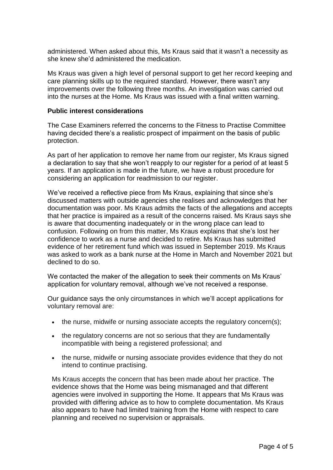administered. When asked about this, Ms Kraus said that it wasn't a necessity as she knew she'd administered the medication.

Ms Kraus was given a high level of personal support to get her record keeping and care planning skills up to the required standard. However, there wasn't any improvements over the following three months. An investigation was carried out into the nurses at the Home. Ms Kraus was issued with a final written warning.

#### **Public interest considerations**

The Case Examiners referred the concerns to the Fitness to Practise Committee having decided there's a realistic prospect of impairment on the basis of public protection.

As part of her application to remove her name from our register, Ms Kraus signed a declaration to say that she won't reapply to our register for a period of at least 5 years. If an application is made in the future, we have a robust procedure for considering an application for readmission to our register.

We've received a reflective piece from Ms Kraus, explaining that since she's discussed matters with outside agencies she realises and acknowledges that her documentation was poor. Ms Kraus admits the facts of the allegations and accepts that her practice is impaired as a result of the concerns raised. Ms Kraus says she is aware that documenting inadequately or in the wrong place can lead to confusion. Following on from this matter, Ms Kraus explains that she's lost her confidence to work as a nurse and decided to retire. Ms Kraus has submitted evidence of her retirement fund which was issued in September 2019. Ms Kraus was asked to work as a bank nurse at the Home in March and November 2021 but declined to do so.

We contacted the maker of the allegation to seek their comments on Ms Kraus' application for voluntary removal, although we've not received a response.

Our guidance says the only circumstances in which we'll accept applications for voluntary removal are:

- the nurse, midwife or nursing associate accepts the regulatory concern(s):
- the regulatory concerns are not so serious that they are fundamentally incompatible with being a registered professional; and
- the nurse, midwife or nursing associate provides evidence that they do not intend to continue practising.

Ms Kraus accepts the concern that has been made about her practice. The evidence shows that the Home was being mismanaged and that different agencies were involved in supporting the Home. It appears that Ms Kraus was provided with differing advice as to how to complete documentation. Ms Kraus also appears to have had limited training from the Home with respect to care planning and received no supervision or appraisals.